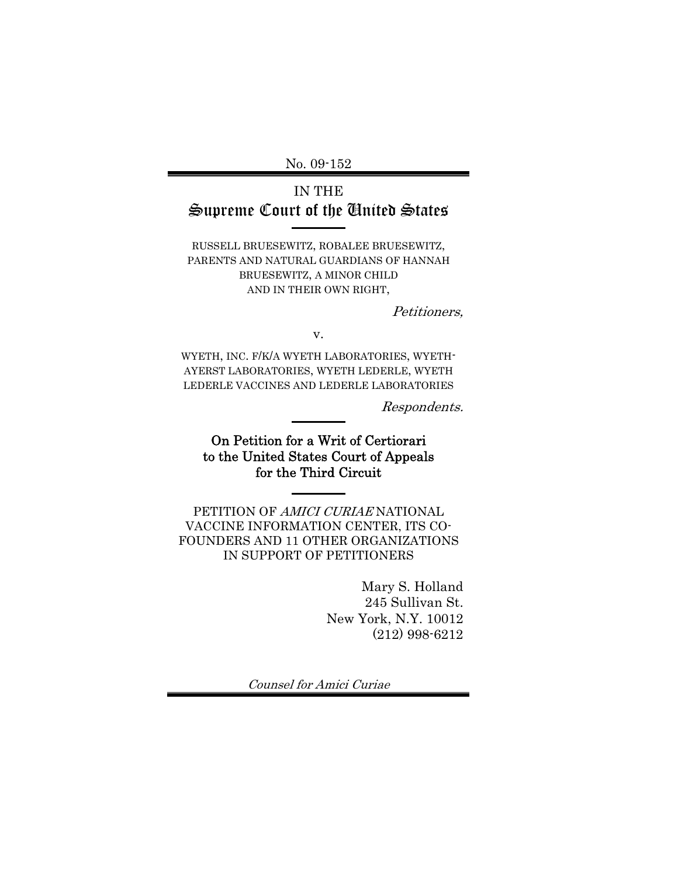No. 09-152

# IN THE Supreme Court of the United States

RUSSELL BRUESEWITZ, ROBALEE BRUESEWITZ, PARENTS AND NATURAL GUARDIANS OF HANNAH BRUESEWITZ, A MINOR CHILD AND IN THEIR OWN RIGHT,

Petitioners,

v.

WYETH, INC. F/K/A WYETH LABORATORIES, WYETH-AYERST LABORATORIES, WYETH LEDERLE, WYETH LEDERLE VACCINES AND LEDERLE LABORATORIES

Respondents.

On Petition for a Writ of Certiorari to the United States Court of Appeals for the Third Circuit

PETITION OF AMICI CURIAE NATIONAL VACCINE INFORMATION CENTER, ITS CO-FOUNDERS AND 11 OTHER ORGANIZATIONS IN SUPPORT OF PETITIONERS

> Mary S. Holland 245 Sullivan St. New York, N.Y. 10012 (212) 998-6212

Counsel for Amici Curiae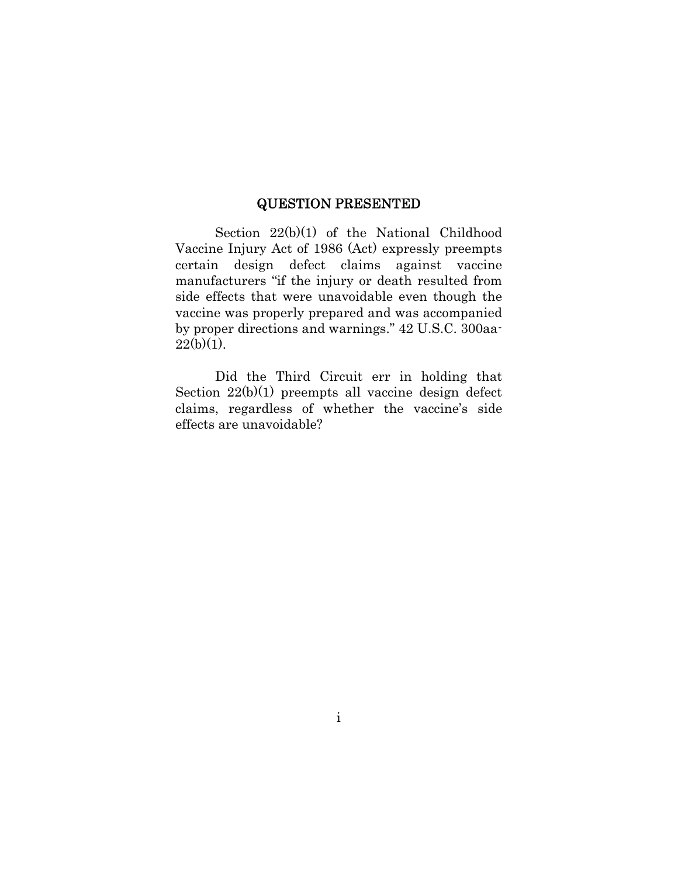### QUESTION PRESENTED

Section 22(b)(1) of the National Childhood Vaccine Injury Act of 1986 (Act) expressly preempts certain design defect claims against vaccine manufacturers "if the injury or death resulted from side effects that were unavoidable even though the vaccine was properly prepared and was accompanied by proper directions and warnings." 42 U.S.C. 300aa- $22(b)(1)$ .

Did the Third Circuit err in holding that Section 22(b)(1) preempts all vaccine design defect claims, regardless of whether the vaccine's side effects are unavoidable?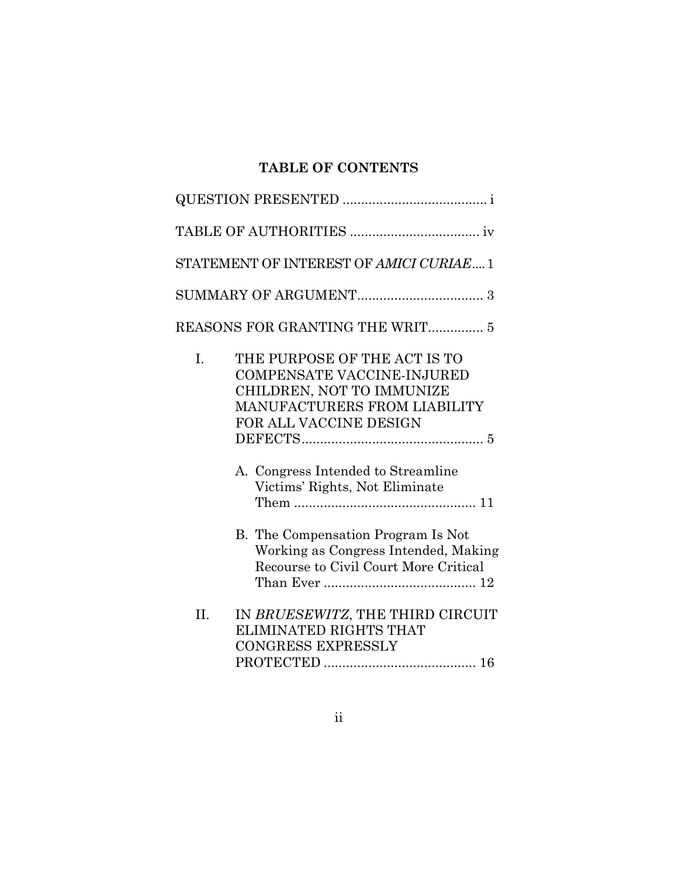# **TABLE OF CONTENTS**

| STATEMENT OF INTEREST OF AMICI CURIAE 1                                                                                                                                                                                                |  |
|----------------------------------------------------------------------------------------------------------------------------------------------------------------------------------------------------------------------------------------|--|
|                                                                                                                                                                                                                                        |  |
| REASONS FOR GRANTING THE WRIT 5                                                                                                                                                                                                        |  |
| THE PURPOSE OF THE ACT IS TO<br>I.<br><b>COMPENSATE VACCINE-INJURED</b><br>CHILDREN, NOT TO IMMUNIZE<br>MANUFACTURERS FROM LIABILITY<br>FOR ALL VACCINE DESIGN<br>A. Congress Intended to Streamline<br>Victims' Rights, Not Eliminate |  |
| B. The Compensation Program Is Not<br>Working as Congress Intended, Making<br>Recourse to Civil Court More Critical                                                                                                                    |  |
| IN BRUESEWITZ, THE THIRD CIRCUIT<br>II.<br>ELIMINATED RIGHTS THAT<br><b>CONGRESS EXPRESSLY</b>                                                                                                                                         |  |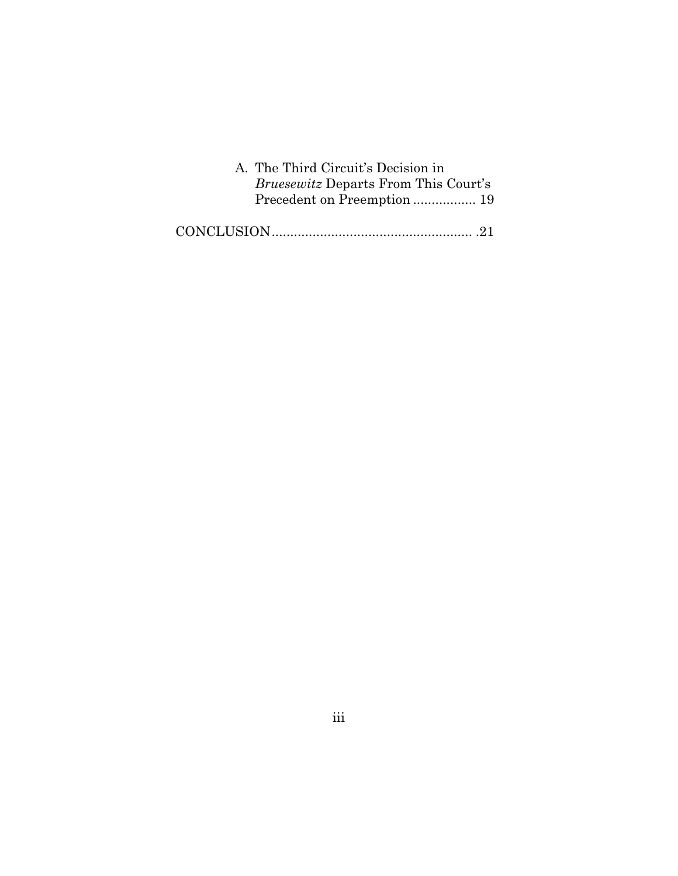| A. The Third Circuit's Decision in          |  |
|---------------------------------------------|--|
| <i>Bruesewitz</i> Departs From This Court's |  |
|                                             |  |
|                                             |  |
|                                             |  |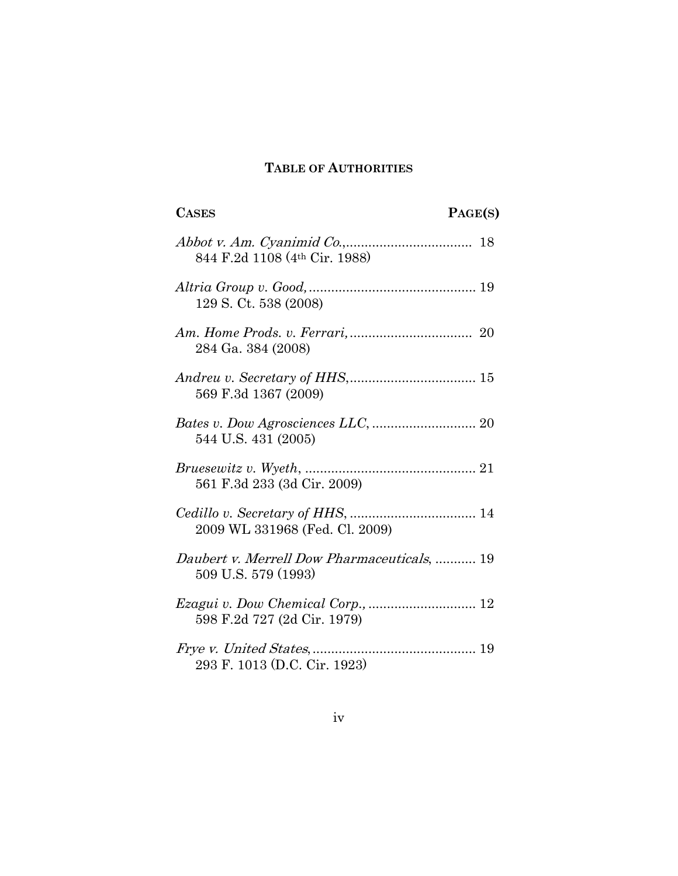## **TABLE OF AUTHORITIES**

| <b>CASES</b>                                                       | PAGE(S) |
|--------------------------------------------------------------------|---------|
| 844 F.2d 1108 (4th Cir. 1988)                                      |         |
| 129 S. Ct. 538 (2008)                                              |         |
| 284 Ga. 384 (2008)                                                 |         |
| 569 F.3d 1367 (2009)                                               |         |
| 544 U.S. 431 (2005)                                                |         |
| 561 F.3d 233 (3d Cir. 2009)                                        |         |
| 2009 WL 331968 (Fed. Cl. 2009)                                     |         |
| Daubert v. Merrell Dow Pharmaceuticals,  19<br>509 U.S. 579 (1993) |         |
| 598 F.2d 727 (2d Cir. 1979)                                        |         |
| 293 F. 1013 (D.C. Cir. 1923)                                       |         |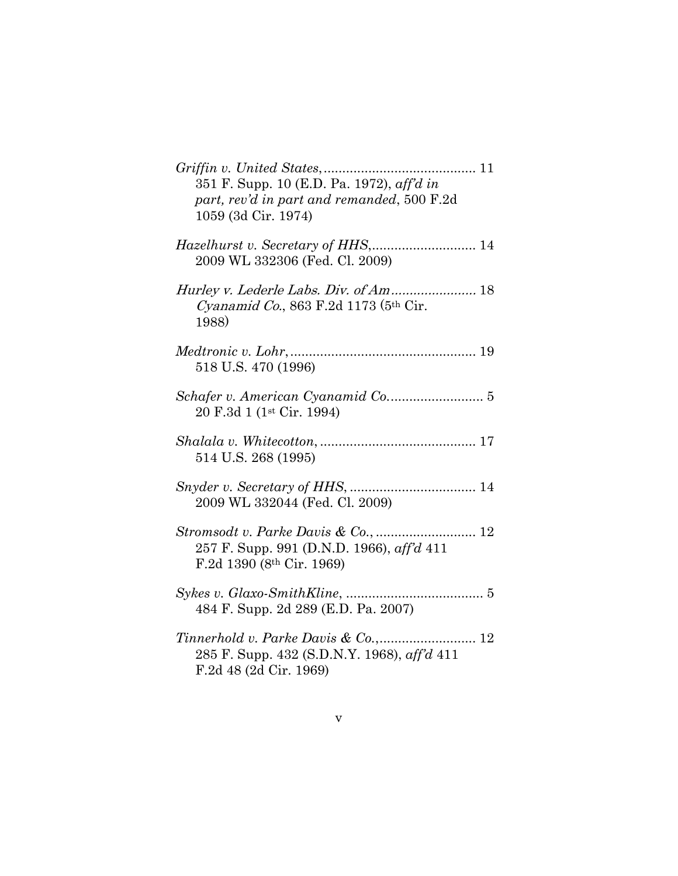| 351 F. Supp. 10 (E.D. Pa. 1972), aff'd in<br>part, rev'd in part and remanded, 500 F.2d<br>1059 (3d Cir. 1974)  |
|-----------------------------------------------------------------------------------------------------------------|
| 2009 WL 332306 (Fed. Cl. 2009)                                                                                  |
| <i>Cyanamid Co.</i> , 863 F.2d 1173 ( $5th$ Cir.<br>1988)                                                       |
| 518 U.S. 470 (1996)                                                                                             |
| 20 F.3d 1 (1 <sup>st</sup> Cir. 1994)                                                                           |
| 514 U.S. 268 (1995)                                                                                             |
| 2009 WL 332044 (Fed. Cl. 2009)                                                                                  |
| 257 F. Supp. 991 (D.N.D. 1966), aff'd 411<br>F.2d 1390 (8th Cir. 1969)                                          |
| 484 F. Supp. 2d 289 (E.D. Pa. 2007)                                                                             |
| Tinnerhold v. Parke Davis & Co.,<br>12<br>285 F. Supp. 432 (S.D.N.Y. 1968), aff'd 411<br>F.2d 48 (2d Cir. 1969) |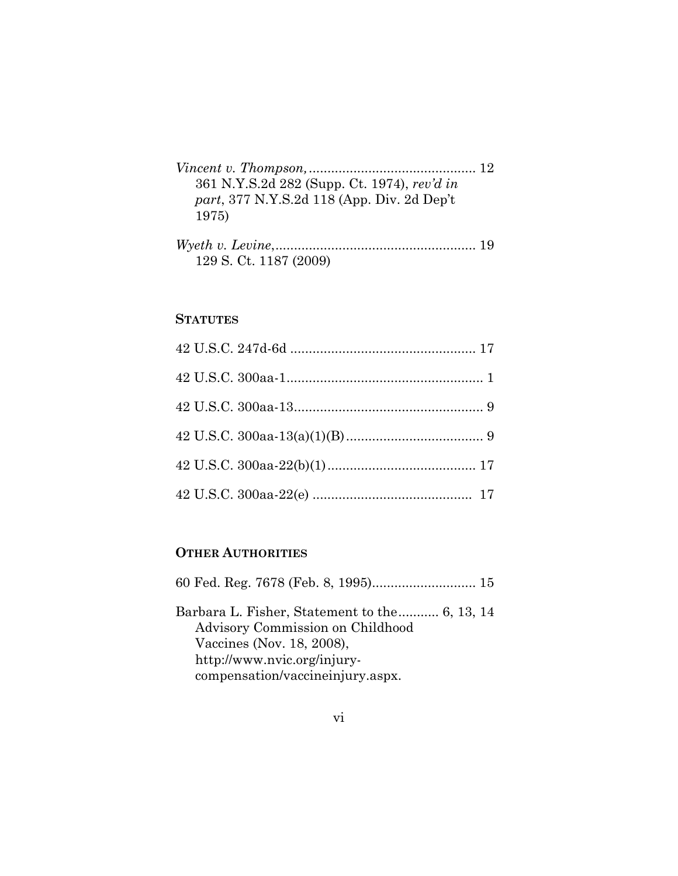| 361 N.Y.S.2d 282 (Supp. Ct. 1974), rev'd in |  |
|---------------------------------------------|--|
| part, 377 N.Y.S.2d 118 (App. Div. 2d Dep't  |  |
| 1975)                                       |  |
| $TT7 \tcdot 7 \tcdot T$                     |  |

| 129 S. Ct. 1187 (2009) |  |
|------------------------|--|

## **STATUTES**

## **OTHER AUTHORITIES**

| Barbara L. Fisher, Statement to the 6, 13, 14 |  |
|-----------------------------------------------|--|
| Advisory Commission on Childhood              |  |
| Vaccines (Nov. 18, 2008),                     |  |
| http://www.nvic.org/injury-                   |  |
| compensation/vaccineinjury.aspx.              |  |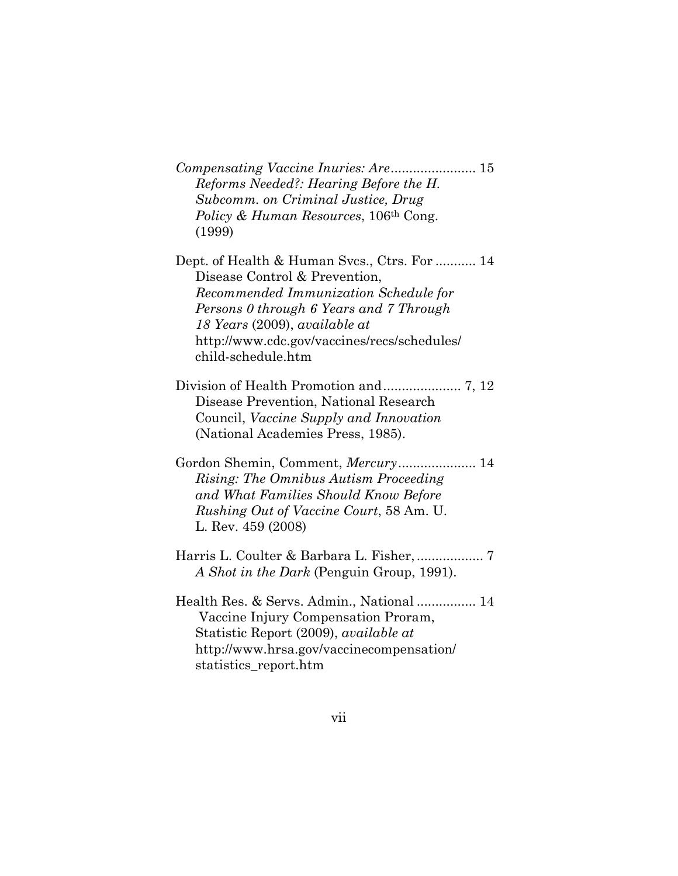*Compensating Vaccine Inuries: Are* ....................... 15 *Reforms Needed?: Hearing Before the H. Subcomm. on Criminal Justice, Drug Policy & Human Resources*, 106th Cong. (1999)

Dept. of Health & Human Svcs., Ctrs. For ........... 14 Disease Control & Prevention, *Recommended Immunization Schedule for Persons 0 through 6 Years and 7 Through 18 Years* (2009), *available at* http://www.cdc.gov/vaccines/recs/schedules/ child-schedule.htm

- Division of Health Promotion and ..................... 7, 12 Disease Prevention, National Research Council, *Vaccine Supply and Innovation* (National Academies Press, 1985).
- Gordon Shemin, Comment, *Mercury* ..................... 14 *Rising: The Omnibus Autism Proceeding and What Families Should Know Before Rushing Out of Vaccine Court*, 58 Am. U. L. Rev. 459 (2008)
- Harris L. Coulter & Barbara L. Fisher, .................. 7 *A Shot in the Dark* (Penguin Group, 1991).
- Health Res. & Servs. Admin., National ................ 14 Vaccine Injury Compensation Proram, Statistic Report (2009), *available at* http://www.hrsa.gov/vaccinecompensation/ statistics\_report.htm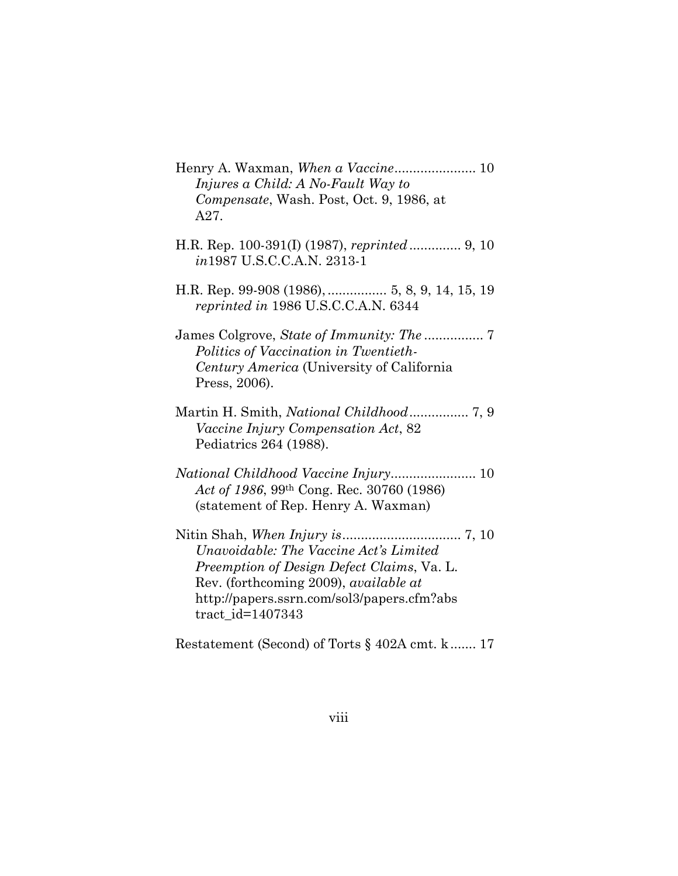Henry A. Waxman, *When a Vaccine* ...................... 10 *Injures a Child: A No-Fault Way to Compensate*, Wash. Post, Oct. 9, 1986, at A27. H.R. Rep. 100-391(I) (1987), *reprinted* .............. 9, 10 *in*1987 U.S.C.C.A.N. 2313-1 H.R. Rep. 99-908 (1986), ................5, 8, 9, 14, 15, 19 *reprinted in* 1986 U.S.C.C.A.N. 6344 James Colgrove, *State of Immunity: The* ................ 7 *Politics of Vaccination in Twentieth-Century America* (University of California Press, 2006). Martin H. Smith, *National Childhood* ................ 7, 9 *Vaccine Injury Compensation Act*, 82 Pediatrics 264 (1988). *National Childhood Vaccine Injury*....................... 10 *Act of 1986*, 99th Cong. Rec. 30760 (1986) (statement of Rep. Henry A. Waxman) Nitin Shah, *When Injury is* ................................ 7, 10 *Unavoidable: The Vaccine Act's Limited Preemption of Design Defect Claims*, Va. L. Rev. (forthcoming 2009), *available at*  http://papers.ssrn.com/sol3/papers.cfm?abs tract\_id=1407343

Restatement (Second) of Torts § 402A cmt. k ....... 17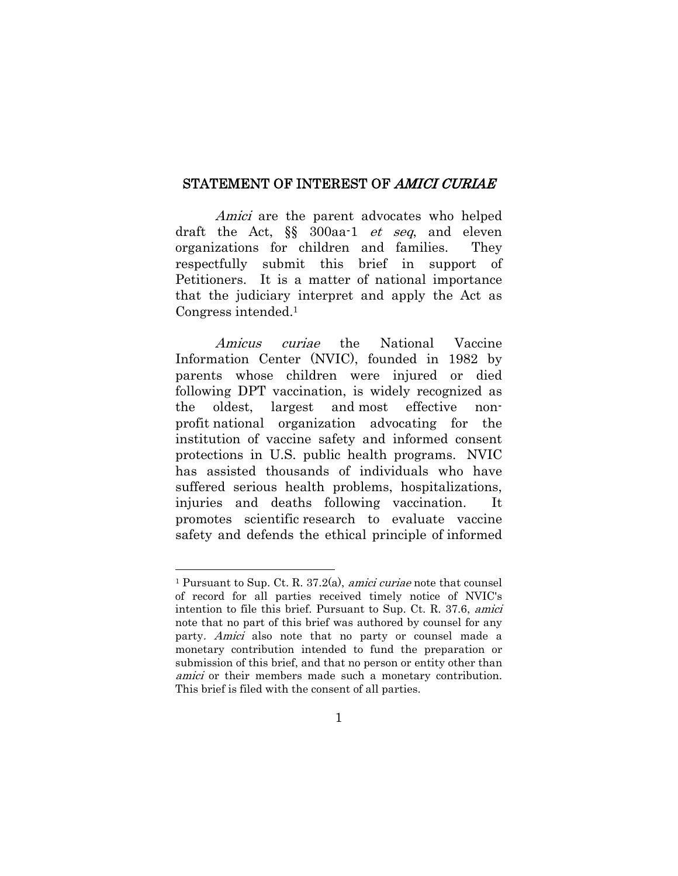#### STATEMENT OF INTEREST OF AMICI CURIAE

Amici are the parent advocates who helped draft the Act, §§ 300aa-1 et seq, and eleven organizations for children and families. They respectfully submit this brief in support of Petitioners. It is a matter of national importance that the judiciary interpret and apply the Act as Congress intended.1

Amicus curiae the National Vaccine Information Center (NVIC), founded in 1982 by parents whose children were injured or died following DPT vaccination, is widely recognized as the oldest, largest and most effective nonprofit national organization advocating for the institution of vaccine safety and informed consent protections in U.S. public health programs. NVIC has assisted thousands of individuals who have suffered serious health problems, hospitalizations, injuries and deaths following vaccination. It promotes scientific research to evaluate vaccine safety and defends the ethical principle of informed

<sup>&</sup>lt;sup>1</sup> Pursuant to Sup. Ct. R.  $37.2(a)$ , *amici curiae* note that counsel of record for all parties received timely notice of NVIC's intention to file this brief. Pursuant to Sup. Ct. R. 37.6, amici note that no part of this brief was authored by counsel for any party. Amici also note that no party or counsel made a monetary contribution intended to fund the preparation or submission of this brief, and that no person or entity other than amici or their members made such a monetary contribution. This brief is filed with the consent of all parties.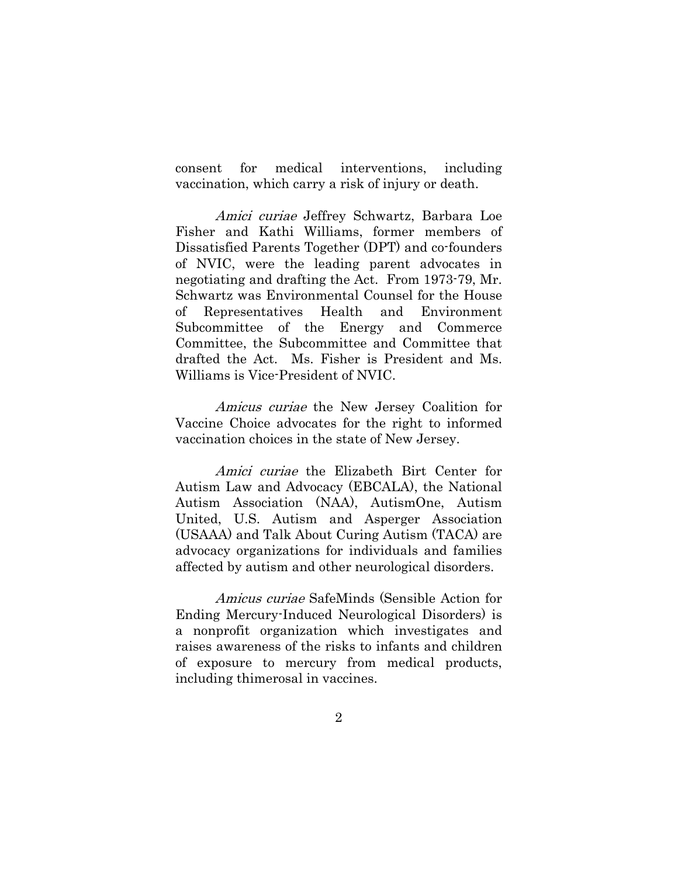consent for medical interventions, including vaccination, which carry a risk of injury or death.

Amici curiae Jeffrey Schwartz, Barbara Loe Fisher and Kathi Williams, former members of Dissatisfied Parents Together (DPT) and co-founders of NVIC, were the leading parent advocates in negotiating and drafting the Act. From 1973-79, Mr. Schwartz was Environmental Counsel for the House of Representatives Health and Environment Subcommittee of the Energy and Commerce Committee, the Subcommittee and Committee that drafted the Act. Ms. Fisher is President and Ms. Williams is Vice-President of NVIC.

Amicus curiae the New Jersey Coalition for Vaccine Choice advocates for the right to informed vaccination choices in the state of New Jersey.

Amici curiae the Elizabeth Birt Center for Autism Law and Advocacy (EBCALA), the National Autism Association (NAA), AutismOne, Autism United, U.S. Autism and Asperger Association (USAAA) and Talk About Curing Autism (TACA) are advocacy organizations for individuals and families affected by autism and other neurological disorders.

Amicus curiae SafeMinds (Sensible Action for Ending Mercury-Induced Neurological Disorders) is a nonprofit organization which investigates and raises awareness of the risks to infants and children of exposure to mercury from medical products, including thimerosal in vaccines.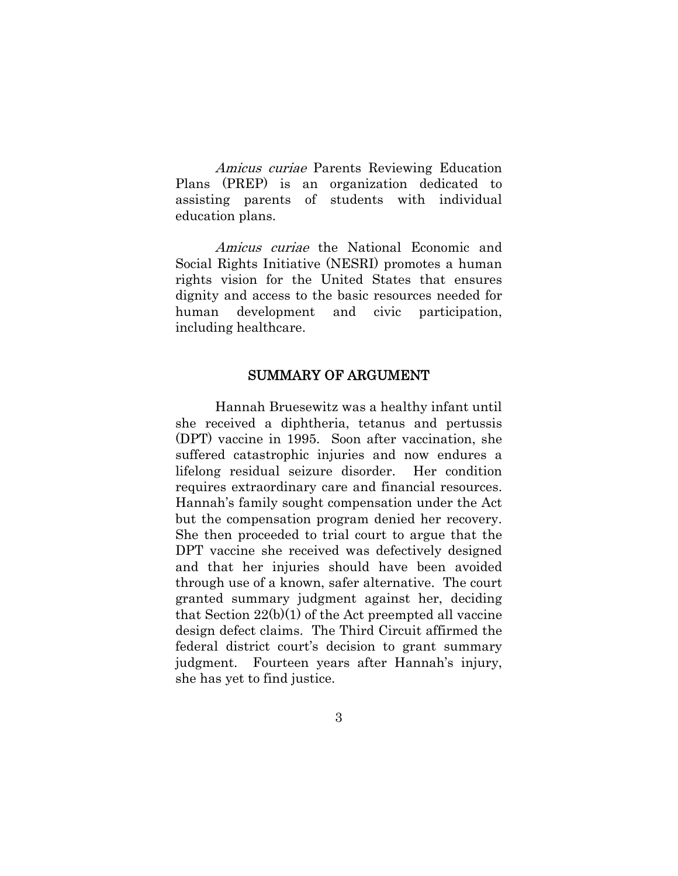Amicus curiae Parents Reviewing Education Plans (PREP) is an organization dedicated to assisting parents of students with individual education plans.

Amicus curiae the National Economic and Social Rights Initiative (NESRI) promotes a human rights vision for the United States that ensures dignity and access to the basic resources needed for human development and civic participation, including healthcare.

#### SUMMARY OF ARGUMENT

Hannah Bruesewitz was a healthy infant until she received a diphtheria, tetanus and pertussis (DPT) vaccine in 1995. Soon after vaccination, she suffered catastrophic injuries and now endures a lifelong residual seizure disorder. Her condition requires extraordinary care and financial resources. Hannah's family sought compensation under the Act but the compensation program denied her recovery. She then proceeded to trial court to argue that the DPT vaccine she received was defectively designed and that her injuries should have been avoided through use of a known, safer alternative. The court granted summary judgment against her, deciding that Section  $22(b)(1)$  of the Act preempted all vaccine design defect claims. The Third Circuit affirmed the federal district court's decision to grant summary judgment. Fourteen years after Hannah's injury, she has yet to find justice.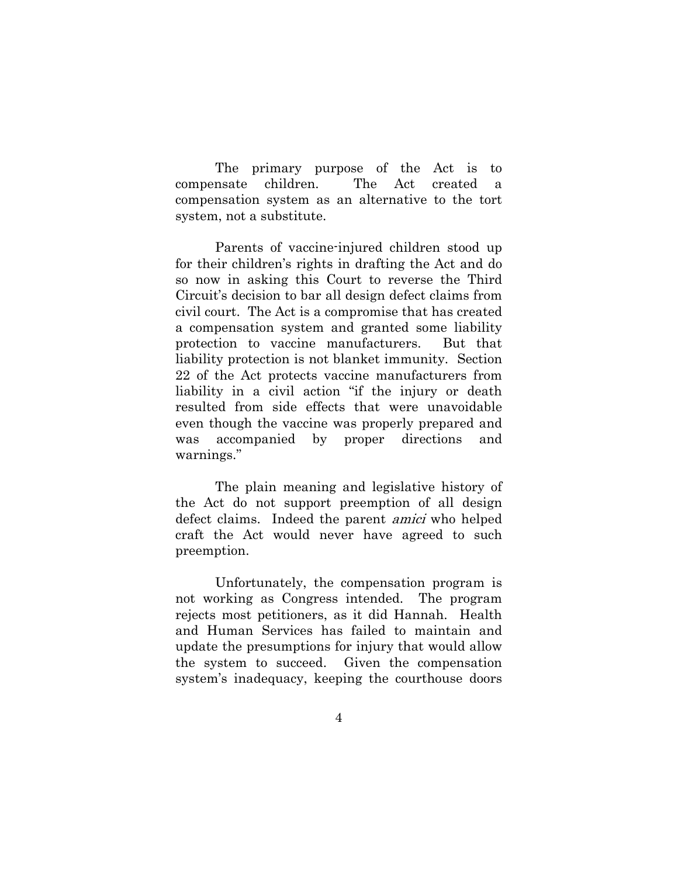The primary purpose of the Act is to compensate children. The Act created a compensation system as an alternative to the tort system, not a substitute.

Parents of vaccine-injured children stood up for their children's rights in drafting the Act and do so now in asking this Court to reverse the Third Circuit's decision to bar all design defect claims from civil court. The Act is a compromise that has created a compensation system and granted some liability protection to vaccine manufacturers. But that liability protection is not blanket immunity. Section 22 of the Act protects vaccine manufacturers from liability in a civil action "if the injury or death resulted from side effects that were unavoidable even though the vaccine was properly prepared and was accompanied by proper directions and warnings."

The plain meaning and legislative history of the Act do not support preemption of all design defect claims. Indeed the parent amici who helped craft the Act would never have agreed to such preemption.

Unfortunately, the compensation program is not working as Congress intended. The program rejects most petitioners, as it did Hannah. Health and Human Services has failed to maintain and update the presumptions for injury that would allow the system to succeed. Given the compensation system's inadequacy, keeping the courthouse doors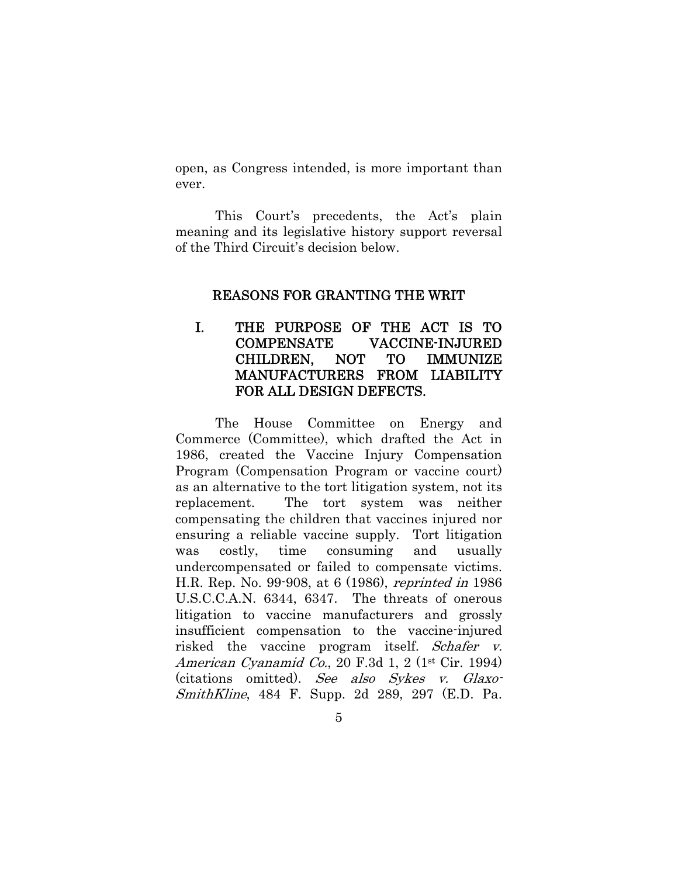open, as Congress intended, is more important than ever.

This Court's precedents, the Act's plain meaning and its legislative history support reversal of the Third Circuit's decision below.

#### REASONS FOR GRANTING THE WRIT

## I. THE PURPOSE OF THE ACT IS TO COMPENSATE VACCINE-INJURED CHILDREN, NOT TO IMMUNIZE MANUFACTURERS FROM LIABILITY FOR ALL DESIGN DEFECTS.

The House Committee on Energy and Commerce (Committee), which drafted the Act in 1986, created the Vaccine Injury Compensation Program (Compensation Program or vaccine court) as an alternative to the tort litigation system, not its replacement. The tort system was neither compensating the children that vaccines injured nor ensuring a reliable vaccine supply. Tort litigation was costly, time consuming and usually undercompensated or failed to compensate victims. H.R. Rep. No. 99-908, at 6 (1986), reprinted in 1986 U.S.C.C.A.N. 6344, 6347. The threats of onerous litigation to vaccine manufacturers and grossly insufficient compensation to the vaccine-injured risked the vaccine program itself. Schafer v. American Cyanamid Co., 20 F.3d 1, 2 (1st Cir. 1994) (citations omitted). See also Sykes v. Glaxo-SmithKline, 484 F. Supp. 2d 289, 297 (E.D. Pa.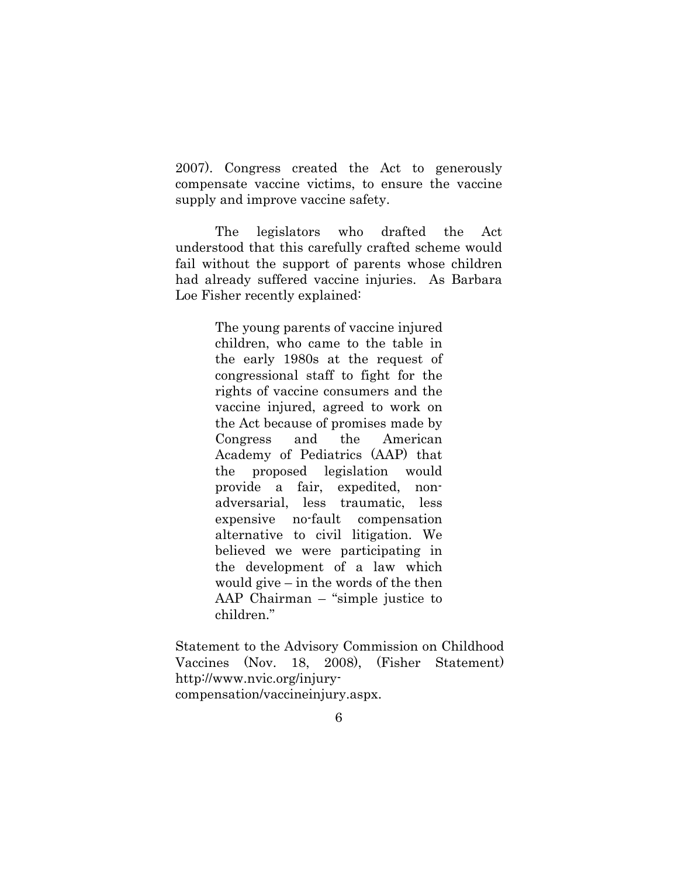2007). Congress created the Act to generously compensate vaccine victims, to ensure the vaccine supply and improve vaccine safety.

The legislators who drafted the Act understood that this carefully crafted scheme would fail without the support of parents whose children had already suffered vaccine injuries. As Barbara Loe Fisher recently explained:

> The young parents of vaccine injured children, who came to the table in the early 1980s at the request of congressional staff to fight for the rights of vaccine consumers and the vaccine injured, agreed to work on the Act because of promises made by Congress and the American Academy of Pediatrics (AAP) that the proposed legislation would provide a fair, expedited, nonadversarial, less traumatic, less expensive no-fault compensation alternative to civil litigation. We believed we were participating in the development of a law which would give – in the words of the then AAP Chairman – "simple justice to children."

Statement to the Advisory Commission on Childhood Vaccines (Nov. 18, 2008), (Fisher Statement) http://www.nvic.org/injurycompensation/vaccineinjury.aspx.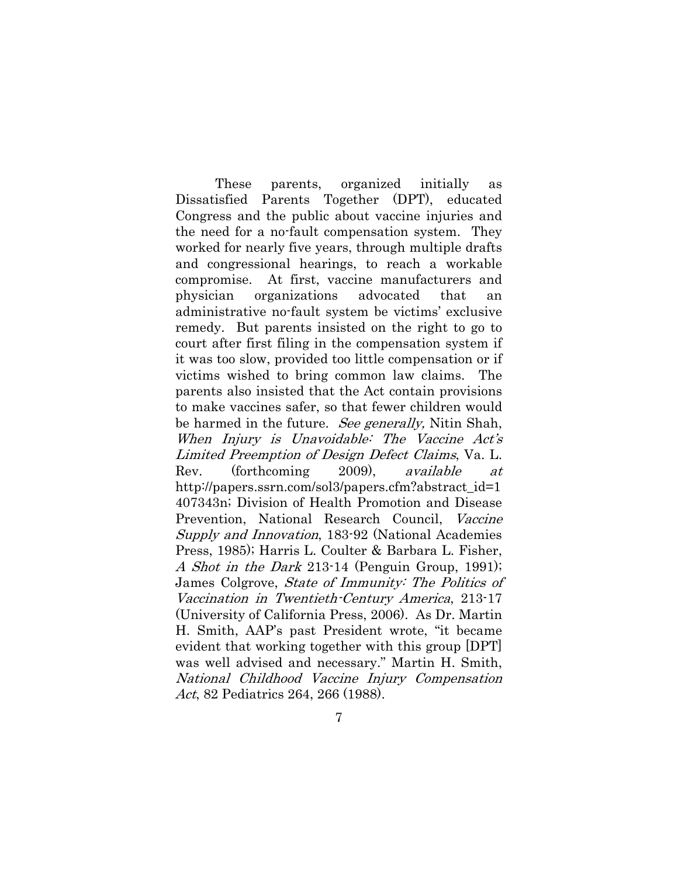These parents, organized initially as Dissatisfied Parents Together (DPT), educated Congress and the public about vaccine injuries and the need for a no-fault compensation system. They worked for nearly five years, through multiple drafts and congressional hearings, to reach a workable compromise. At first, vaccine manufacturers and physician organizations advocated that an administrative no-fault system be victims' exclusive remedy. But parents insisted on the right to go to court after first filing in the compensation system if it was too slow, provided too little compensation or if victims wished to bring common law claims. The parents also insisted that the Act contain provisions to make vaccines safer, so that fewer children would be harmed in the future. See generally, Nitin Shah, When Injury is Unavoidable: The Vaccine Act's Limited Preemption of Design Defect Claims, Va. L. Rev. (forthcoming 2009), available at http://papers.ssrn.com/sol3/papers.cfm?abstract\_id=1 407343n; Division of Health Promotion and Disease Prevention, National Research Council, Vaccine Supply and Innovation, 183-92 (National Academies Press, 1985); Harris L. Coulter & Barbara L. Fisher, A Shot in the Dark 213-14 (Penguin Group, 1991); James Colgrove, State of Immunity: The Politics of Vaccination in Twentieth-Century America, 213-17 (University of California Press, 2006). As Dr. Martin H. Smith, AAP's past President wrote, "it became evident that working together with this group [DPT] was well advised and necessary." Martin H. Smith, National Childhood Vaccine Injury Compensation Act, 82 Pediatrics 264, 266 (1988).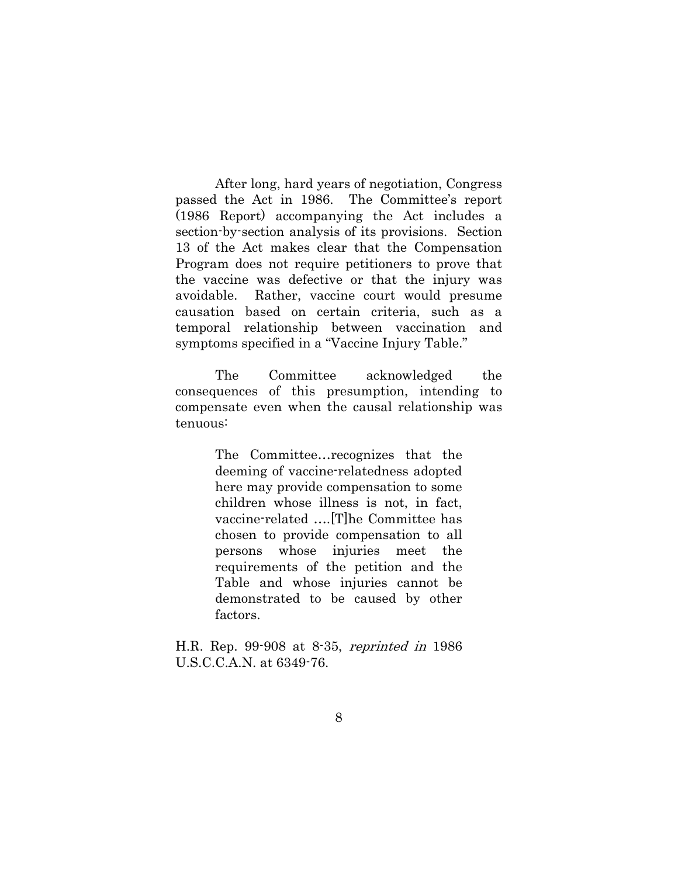After long, hard years of negotiation, Congress passed the Act in 1986. The Committee's report (1986 Report) accompanying the Act includes a section-by-section analysis of its provisions. Section 13 of the Act makes clear that the Compensation Program does not require petitioners to prove that the vaccine was defective or that the injury was avoidable. Rather, vaccine court would presume causation based on certain criteria, such as a temporal relationship between vaccination and symptoms specified in a "Vaccine Injury Table."

The Committee acknowledged the consequences of this presumption, intending to compensate even when the causal relationship was tenuous:

> The Committee…recognizes that the deeming of vaccine-relatedness adopted here may provide compensation to some children whose illness is not, in fact, vaccine-related ….[T]he Committee has chosen to provide compensation to all persons whose injuries meet the requirements of the petition and the Table and whose injuries cannot be demonstrated to be caused by other factors.

H.R. Rep. 99-908 at 8-35, reprinted in 1986 U.S.C.C.A.N. at 6349-76.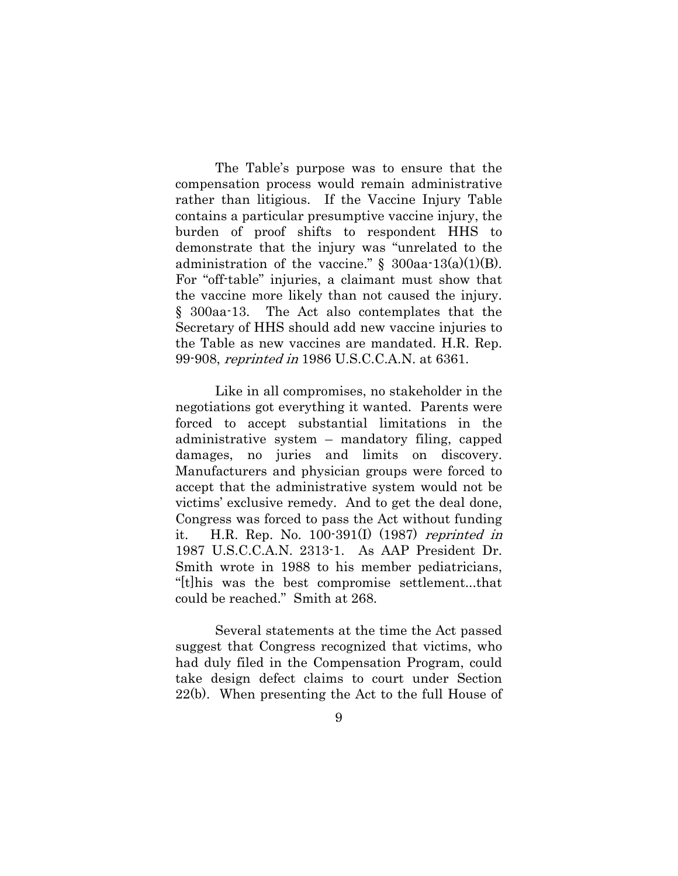The Table's purpose was to ensure that the compensation process would remain administrative rather than litigious. If the Vaccine Injury Table contains a particular presumptive vaccine injury, the burden of proof shifts to respondent HHS to demonstrate that the injury was "unrelated to the administration of the vaccine."  $\S$  300aa-13(a)(1)(B). For "off-table" injuries, a claimant must show that the vaccine more likely than not caused the injury. § 300aa-13. The Act also contemplates that the Secretary of HHS should add new vaccine injuries to the Table as new vaccines are mandated. H.R. Rep. 99-908, reprinted in 1986 U.S.C.C.A.N. at 6361.

Like in all compromises, no stakeholder in the negotiations got everything it wanted. Parents were forced to accept substantial limitations in the administrative system – mandatory filing, capped damages, no juries and limits on discovery. Manufacturers and physician groups were forced to accept that the administrative system would not be victims' exclusive remedy. And to get the deal done, Congress was forced to pass the Act without funding it. H.R. Rep. No.  $100-391(1)$  (1987) reprinted in 1987 U.S.C.C.A.N. 2313-1. As AAP President Dr. Smith wrote in 1988 to his member pediatricians, "[t]his was the best compromise settlement...that could be reached." Smith at 268.

Several statements at the time the Act passed suggest that Congress recognized that victims, who had duly filed in the Compensation Program, could take design defect claims to court under Section 22(b). When presenting the Act to the full House of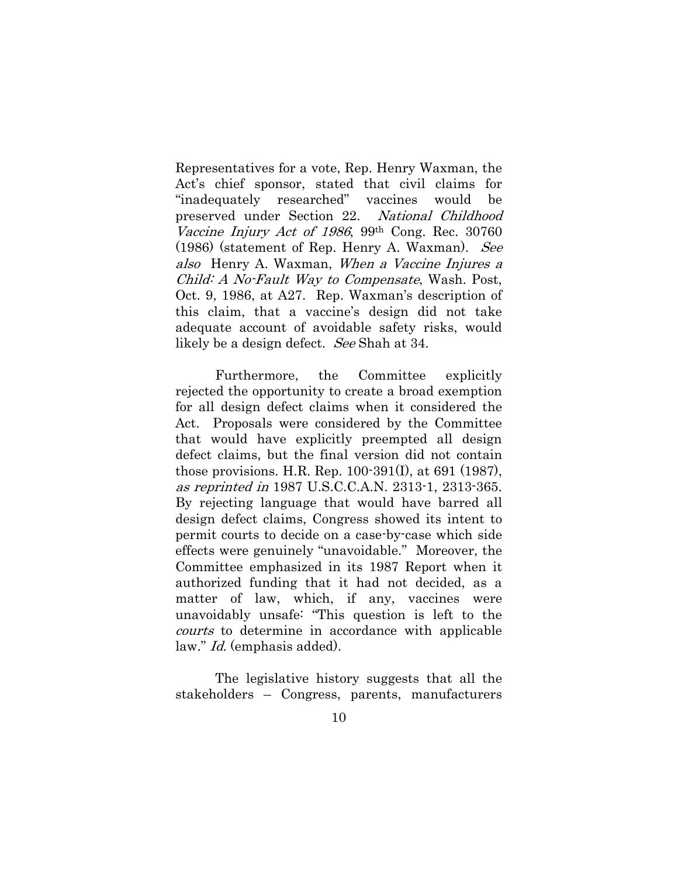Representatives for a vote, Rep. Henry Waxman, the Act's chief sponsor, stated that civil claims for "inadequately researched" vaccines would be preserved under Section 22. National Childhood Vaccine Injury Act of 1986, 99<sup>th</sup> Cong. Rec. 30760 (1986) (statement of Rep. Henry A. Waxman). See also Henry A. Waxman, When a Vaccine Injures a Child: A No-Fault Way to Compensate, Wash. Post, Oct. 9, 1986, at A27. Rep. Waxman's description of this claim, that a vaccine's design did not take adequate account of avoidable safety risks, would likely be a design defect. See Shah at 34.

Furthermore, the Committee explicitly rejected the opportunity to create a broad exemption for all design defect claims when it considered the Act. Proposals were considered by the Committee that would have explicitly preempted all design defect claims, but the final version did not contain those provisions. H.R. Rep. 100-391(I), at 691 (1987), as reprinted in 1987 U.S.C.C.A.N. 2313-1, 2313-365. By rejecting language that would have barred all design defect claims, Congress showed its intent to permit courts to decide on a case-by-case which side effects were genuinely "unavoidable." Moreover, the Committee emphasized in its 1987 Report when it authorized funding that it had not decided, as a matter of law, which, if any, vaccines were unavoidably unsafe: "This question is left to the courts to determine in accordance with applicable law." Id. (emphasis added).

The legislative history suggests that all the stakeholders – Congress, parents, manufacturers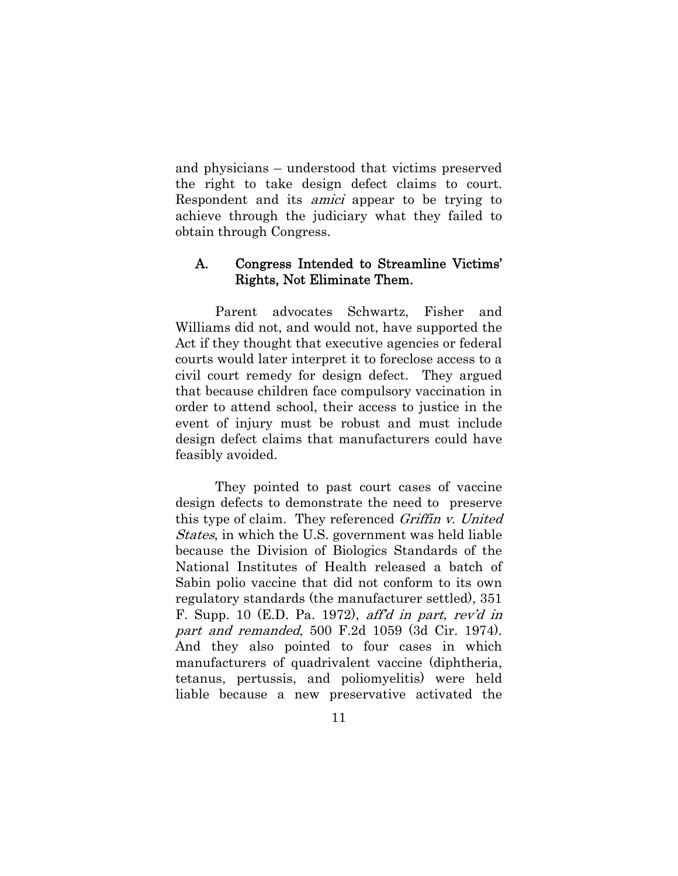and physicians – understood that victims preserved the right to take design defect claims to court. Respondent and its amici appear to be trying to achieve through the judiciary what they failed to obtain through Congress.

### A. Congress Intended to Streamline Victims' Rights, Not Eliminate Them.

Parent advocates Schwartz, Fisher and Williams did not, and would not, have supported the Act if they thought that executive agencies or federal courts would later interpret it to foreclose access to a civil court remedy for design defect. They argued that because children face compulsory vaccination in order to attend school, their access to justice in the event of injury must be robust and must include design defect claims that manufacturers could have feasibly avoided.

They pointed to past court cases of vaccine design defects to demonstrate the need to preserve this type of claim. They referenced Griffin v. United States, in which the U.S. government was held liable because the Division of Biologics Standards of the National Institutes of Health released a batch of Sabin polio vaccine that did not conform to its own regulatory standards (the manufacturer settled), 351 F. Supp. 10  $(E.D. Pa. 1972)$ , after *a part*, rev'd in part and remanded, 500 F.2d 1059 (3d Cir. 1974). And they also pointed to four cases in which manufacturers of quadrivalent vaccine (diphtheria, tetanus, pertussis, and poliomyelitis) were held liable because a new preservative activated the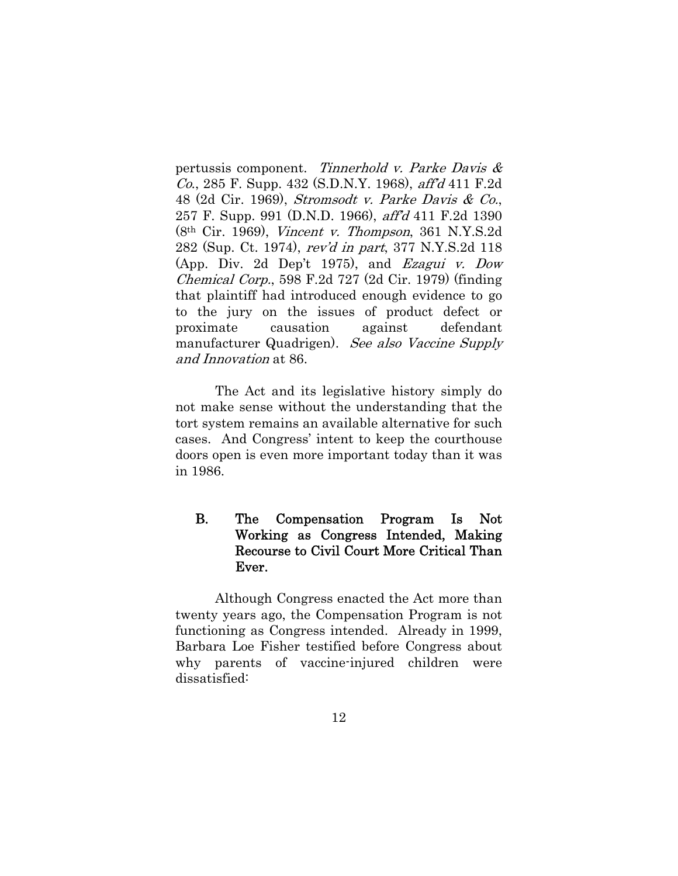pertussis component. Tinnerhold v. Parke Davis & Co., 285 F. Supp. 432 (S.D.N.Y. 1968), aff'd 411 F.2d 48 (2d Cir. 1969), Stromsodt v. Parke Davis & Co., 257 F. Supp. 991 (D.N.D. 1966), aff'd 411 F.2d 1390 (8th Cir. 1969), Vincent v. Thompson, 361 N.Y.S.2d 282 (Sup. Ct. 1974), rev'd in part, 377 N.Y.S.2d 118 (App. Div. 2d Dep't 1975), and Ezagui v. Dow Chemical Corp., 598 F.2d 727 (2d Cir. 1979) (finding that plaintiff had introduced enough evidence to go to the jury on the issues of product defect or proximate causation against defendant manufacturer Quadrigen). See also Vaccine Supply and Innovation at 86.

The Act and its legislative history simply do not make sense without the understanding that the tort system remains an available alternative for such cases. And Congress' intent to keep the courthouse doors open is even more important today than it was in 1986.

## B. The Compensation Program Is Not Working as Congress Intended, Making Recourse to Civil Court More Critical Than Ever.

Although Congress enacted the Act more than twenty years ago, the Compensation Program is not functioning as Congress intended. Already in 1999, Barbara Loe Fisher testified before Congress about why parents of vaccine-injured children were dissatisfied: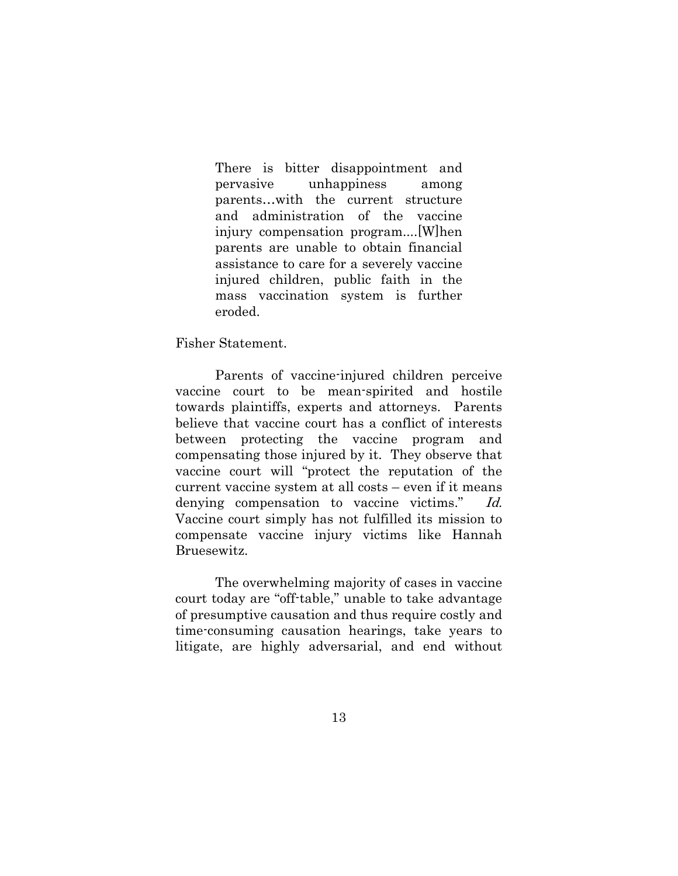There is bitter disappointment and pervasive unhappiness among parents…with the current structure and administration of the vaccine injury compensation program....[W]hen parents are unable to obtain financial assistance to care for a severely vaccine injured children, public faith in the mass vaccination system is further eroded.

Fisher Statement.

Parents of vaccine-injured children perceive vaccine court to be mean-spirited and hostile towards plaintiffs, experts and attorneys. Parents believe that vaccine court has a conflict of interests between protecting the vaccine program and compensating those injured by it. They observe that vaccine court will "protect the reputation of the current vaccine system at all costs – even if it means denying compensation to vaccine victims." Id. Vaccine court simply has not fulfilled its mission to compensate vaccine injury victims like Hannah Bruesewitz.

The overwhelming majority of cases in vaccine court today are "off-table," unable to take advantage of presumptive causation and thus require costly and time-consuming causation hearings, take years to litigate, are highly adversarial, and end without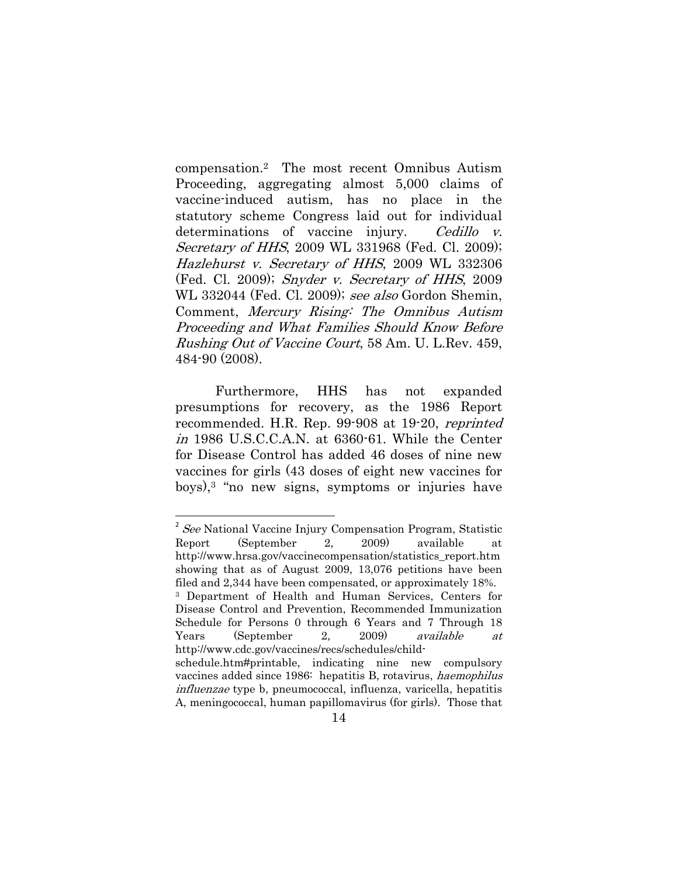compensation.2 The most recent Omnibus Autism Proceeding, aggregating almost 5,000 claims of vaccine-induced autism, has no place in the statutory scheme Congress laid out for individual determinations of vaccine injury. Cedillo v. Secretary of HHS, 2009 WL 331968 (Fed. Cl. 2009); Hazlehurst v. Secretary of HHS, 2009 WL 332306 (Fed. Cl. 2009); Snyder v. Secretary of HHS, 2009 WL 332044 (Fed. Cl. 2009); see also Gordon Shemin, Comment, Mercury Rising: The Omnibus Autism Proceeding and What Families Should Know Before Rushing Out of Vaccine Court, 58 Am. U. L.Rev. 459, 484-90 (2008).

 Furthermore, HHS has not expanded presumptions for recovery, as the 1986 Report recommended. H.R. Rep. 99-908 at 19-20, reprinted in 1986 U.S.C.C.A.N. at 6360-61. While the Center for Disease Control has added 46 doses of nine new vaccines for girls (43 doses of eight new vaccines for boys),3 "no new signs, symptoms or injuries have

 $2$  See National Vaccine Injury Compensation Program, Statistic Report (September 2, 2009) available at http://www.hrsa.gov/vaccinecompensation/statistics\_report.htm showing that as of August 2009, 13,076 petitions have been filed and 2,344 have been compensated, or approximately 18%. 3 Department of Health and Human Services, Centers for Disease Control and Prevention, Recommended Immunization Schedule for Persons 0 through 6 Years and 7 Through 18 Years (September 2, 2009) available at http://www.cdc.gov/vaccines/recs/schedules/childschedule.htm#printable, indicating nine new compulsory vaccines added since 1986: hepatitis B, rotavirus, haemophilus influenzae type b, pneumococcal, influenza, varicella, hepatitis A, meningococcal, human papillomavirus (for girls). Those that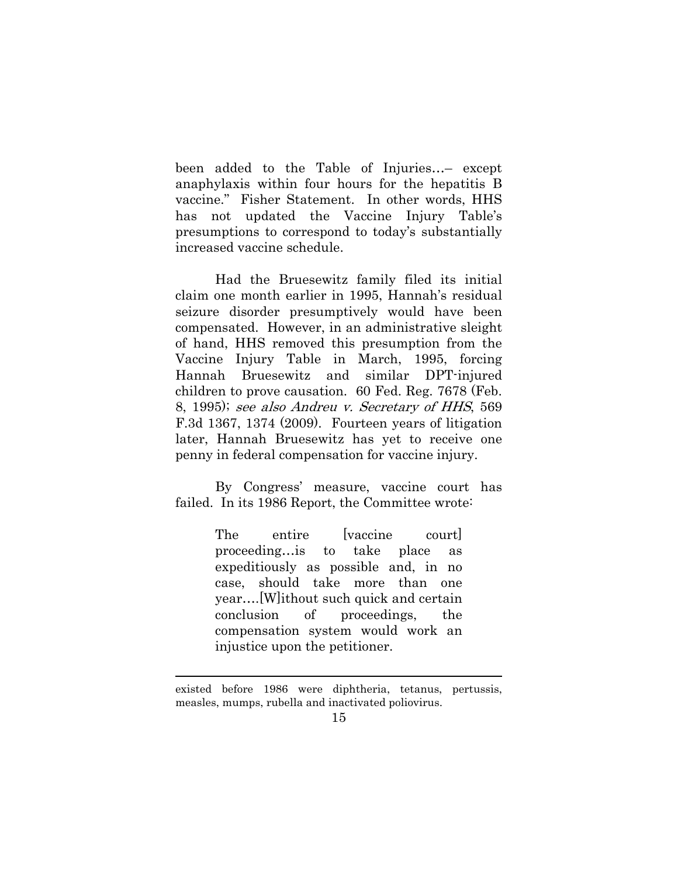been added to the Table of Injuries…– except anaphylaxis within four hours for the hepatitis B vaccine." Fisher Statement. In other words, HHS has not updated the Vaccine Injury Table's presumptions to correspond to today's substantially increased vaccine schedule.

Had the Bruesewitz family filed its initial claim one month earlier in 1995, Hannah's residual seizure disorder presumptively would have been compensated. However, in an administrative sleight of hand, HHS removed this presumption from the Vaccine Injury Table in March, 1995, forcing Hannah Bruesewitz and similar DPT-injured children to prove causation. 60 Fed. Reg. 7678 (Feb. 8, 1995); see also Andreu v. Secretary of HHS, 569 F.3d 1367, 1374 (2009). Fourteen years of litigation later, Hannah Bruesewitz has yet to receive one penny in federal compensation for vaccine injury.

By Congress' measure, vaccine court has failed. In its 1986 Report, the Committee wrote:

> The entire [vaccine court] proceeding…is to take place as expeditiously as possible and, in no case, should take more than one year….[W]ithout such quick and certain conclusion of proceedings, the compensation system would work an injustice upon the petitioner.

<sup>&</sup>lt;u> 1989 - Johann Stein, marwolaethau a bhann an t-Amhain Aonaichte ann an t-Amhain Aonaichte ann an t-Amhain Aon</u> existed before 1986 were diphtheria, tetanus, pertussis, measles, mumps, rubella and inactivated poliovirus.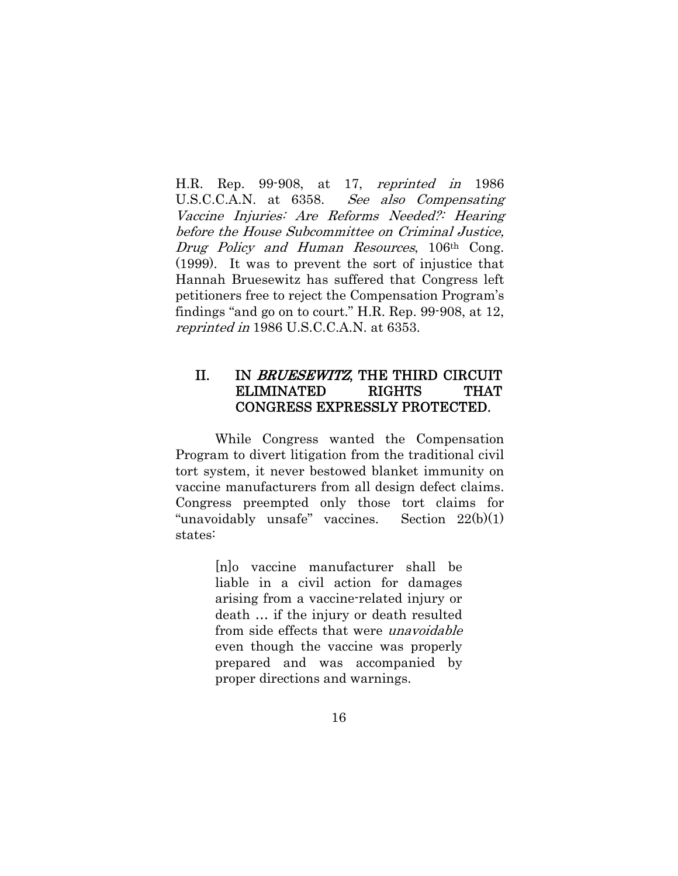H.R. Rep. 99-908, at 17, reprinted in 1986 U.S.C.C.A.N. at 6358. See also Compensating Vaccine Injuries: Are Reforms Needed?: Hearing before the House Subcommittee on Criminal Justice, Drug Policy and Human Resources, 106<sup>th</sup> Cong. (1999). It was to prevent the sort of injustice that Hannah Bruesewitz has suffered that Congress left petitioners free to reject the Compensation Program's findings "and go on to court." H.R. Rep. 99-908, at 12, reprinted in 1986 U.S.C.C.A.N. at 6353.

## II. IN BRUESEWITZ, THE THIRD CIRCUIT ELIMINATED RIGHTS THAT CONGRESS EXPRESSLY PROTECTED.

While Congress wanted the Compensation Program to divert litigation from the traditional civil tort system, it never bestowed blanket immunity on vaccine manufacturers from all design defect claims. Congress preempted only those tort claims for "unavoidably unsafe" vaccines. Section  $22(b)(1)$ states:

> [n]o vaccine manufacturer shall be liable in a civil action for damages arising from a vaccine-related injury or death … if the injury or death resulted from side effects that were unavoidable even though the vaccine was properly prepared and was accompanied by proper directions and warnings.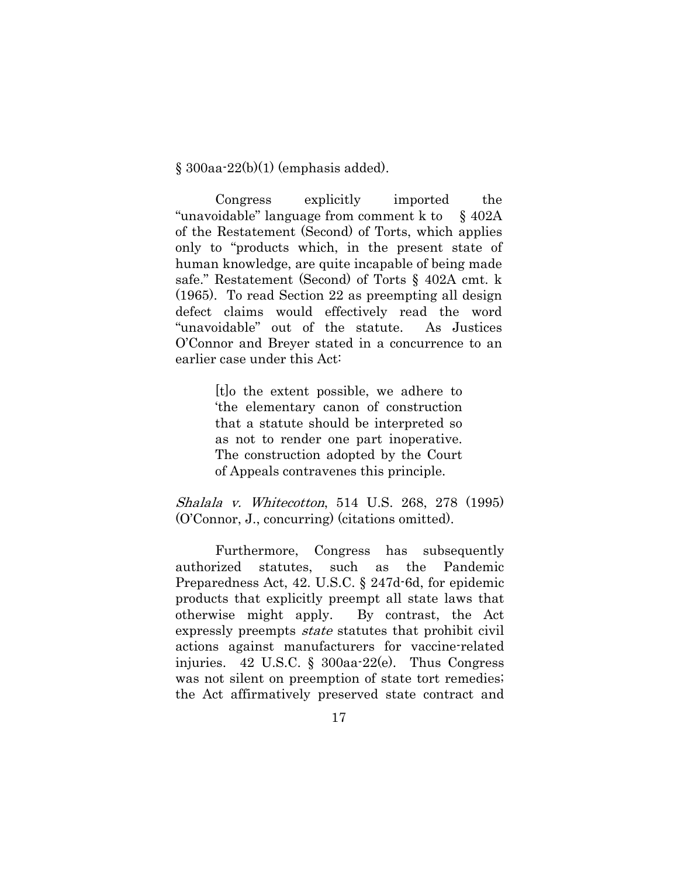$§$  300aa-22(b)(1) (emphasis added).

Congress explicitly imported the "unavoidable" language from comment k to § 402A of the Restatement (Second) of Torts, which applies only to "products which, in the present state of human knowledge, are quite incapable of being made safe." Restatement (Second) of Torts § 402A cmt. k (1965). To read Section 22 as preempting all design defect claims would effectively read the word "unavoidable" out of the statute. As Justices O'Connor and Breyer stated in a concurrence to an earlier case under this Act:

> [t]o the extent possible, we adhere to 'the elementary canon of construction that a statute should be interpreted so as not to render one part inoperative. The construction adopted by the Court of Appeals contravenes this principle.

Shalala v. Whitecotton, 514 U.S. 268, 278 (1995) (O'Connor, J., concurring) (citations omitted).

 Furthermore, Congress has subsequently authorized statutes, such as the Pandemic Preparedness Act, 42. U.S.C. § 247d-6d, for epidemic products that explicitly preempt all state laws that otherwise might apply. By contrast, the Act expressly preempts state statutes that prohibit civil actions against manufacturers for vaccine-related injuries. 42 U.S.C. § 300aa-22(e). Thus Congress was not silent on preemption of state tort remedies; the Act affirmatively preserved state contract and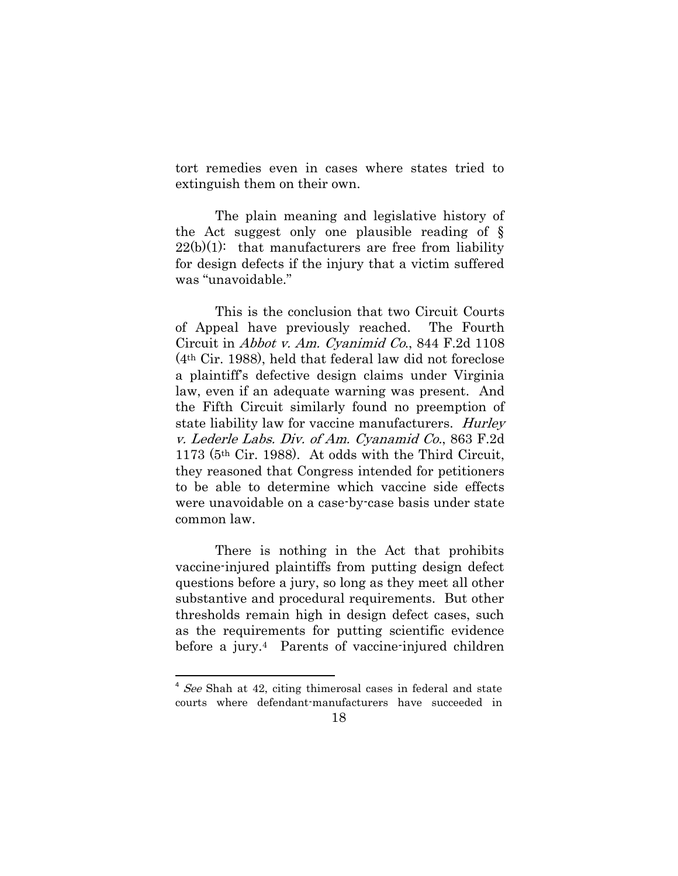tort remedies even in cases where states tried to extinguish them on their own.

The plain meaning and legislative history of the Act suggest only one plausible reading of §  $22(b)(1)$ : that manufacturers are free from liability for design defects if the injury that a victim suffered was "unavoidable."

This is the conclusion that two Circuit Courts of Appeal have previously reached. The Fourth Circuit in Abbot v. Am. Cyanimid Co., 844 F.2d 1108 (4th Cir. 1988), held that federal law did not foreclose a plaintiff's defective design claims under Virginia law, even if an adequate warning was present. And the Fifth Circuit similarly found no preemption of state liability law for vaccine manufacturers. *Hurley* v. Lederle Labs. Div. of Am. Cyanamid Co., 863 F.2d 1173 (5th Cir. 1988). At odds with the Third Circuit, they reasoned that Congress intended for petitioners to be able to determine which vaccine side effects were unavoidable on a case-by-case basis under state common law.

There is nothing in the Act that prohibits vaccine-injured plaintiffs from putting design defect questions before a jury, so long as they meet all other substantive and procedural requirements. But other thresholds remain high in design defect cases, such as the requirements for putting scientific evidence before a jury.4 Parents of vaccine-injured children

 $4$  See Shah at 42, citing thimerosal cases in federal and state courts where defendant-manufacturers have succeeded in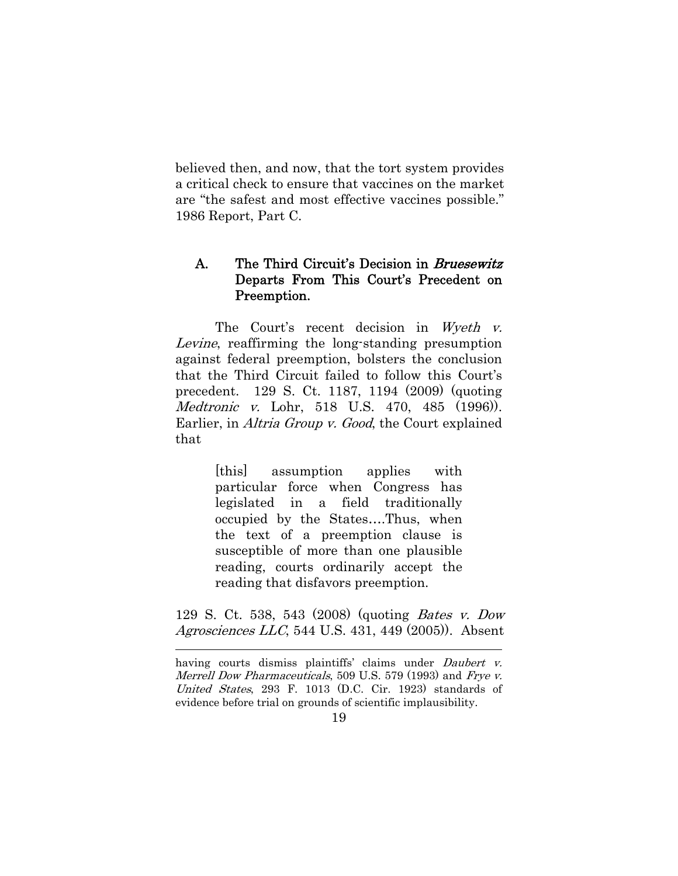believed then, and now, that the tort system provides a critical check to ensure that vaccines on the market are "the safest and most effective vaccines possible." 1986 Report, Part C.

## A. The Third Circuit's Decision in *Bruesewitz* Departs From This Court's Precedent on Preemption.

The Court's recent decision in Wyeth v. Levine, reaffirming the long-standing presumption against federal preemption, bolsters the conclusion that the Third Circuit failed to follow this Court's precedent. 129 S. Ct. 1187, 1194 (2009) (quoting Medtronic v. Lohr, 518 U.S. 470, 485 (1996)). Earlier, in *Altria Group v. Good*, the Court explained that

> [this] assumption applies with particular force when Congress has legislated in a field traditionally occupied by the States….Thus, when the text of a preemption clause is susceptible of more than one plausible reading, courts ordinarily accept the reading that disfavors preemption.

129 S. Ct. 538, 543 (2008) (quoting Bates v. Dow Agrosciences LLC, 544 U.S. 431, 449 (2005)). Absent

<u> 1989 - Johann Stein, marwolaethau a bhann an t-Amhain Aonaichte ann an t-Amhain Aonaichte ann an t-Amhain Aon</u>

having courts dismiss plaintiffs' claims under *Daubert v*. Merrell Dow Pharmaceuticals, 509 U.S. 579 (1993) and Frye v. United States, 293 F. 1013 (D.C. Cir. 1923) standards of evidence before trial on grounds of scientific implausibility.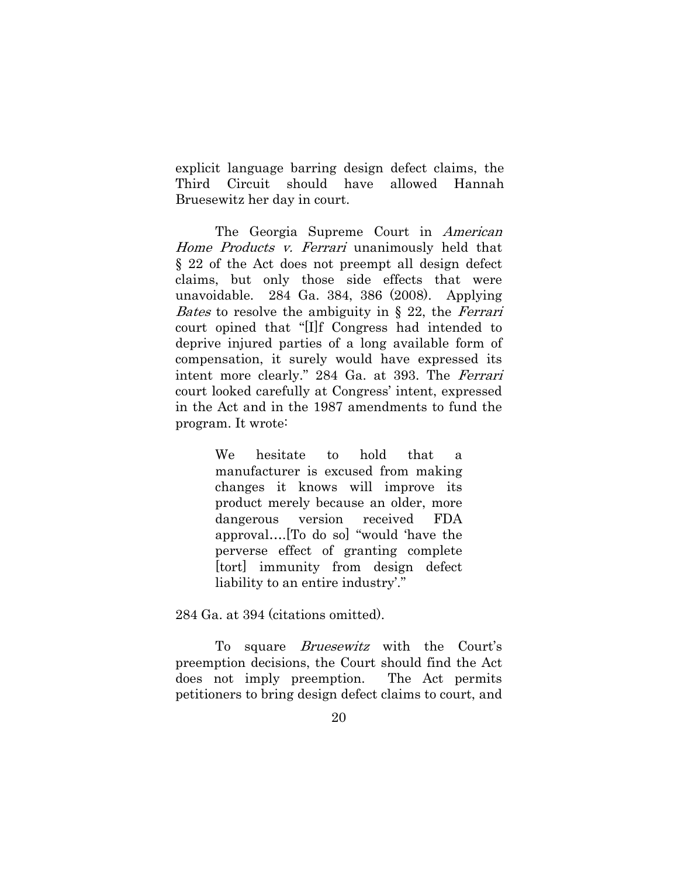explicit language barring design defect claims, the Third Circuit should have allowed Hannah Bruesewitz her day in court.

The Georgia Supreme Court in American Home Products v. Ferrari unanimously held that § 22 of the Act does not preempt all design defect claims, but only those side effects that were unavoidable. 284 Ga. 384, 386 (2008). Applying *Bates* to resolve the ambiguity in  $\S$  22, the *Ferrari* court opined that "[I]f Congress had intended to deprive injured parties of a long available form of compensation, it surely would have expressed its intent more clearly." 284 Ga. at 393. The Ferrari court looked carefully at Congress' intent, expressed in the Act and in the 1987 amendments to fund the program. It wrote:

> We hesitate to hold that a manufacturer is excused from making changes it knows will improve its product merely because an older, more dangerous version received FDA approval….[To do so] "would 'have the perverse effect of granting complete [tort] immunity from design defect liability to an entire industry'."

284 Ga. at 394 (citations omitted).

To square *Bruesewitz* with the Court's preemption decisions, the Court should find the Act does not imply preemption. The Act permits petitioners to bring design defect claims to court, and